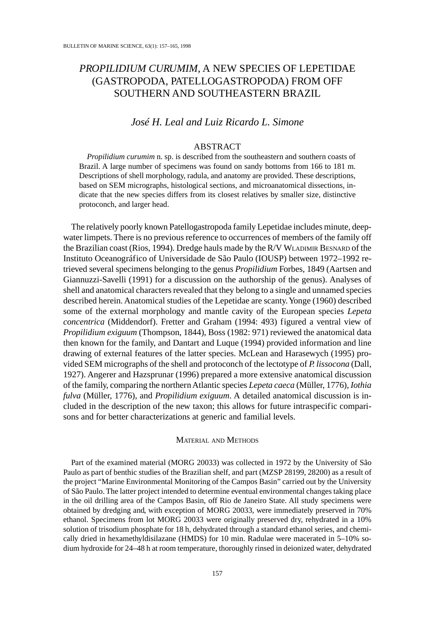# PROPILIDIUM CURUMIM, A NEW SPECIES OF LEPETIDAE (GASTROPODA, PATELLOGASTROPODA) FROM OFF SOUTHERN AND SOUTHEASTERN BRAZIL

# José H. Leal and Luiz Ricardo L. Simone

### **ABSTRACT**

Propilidium curumim n. sp. is described from the southeastern and southern coasts of Brazil. A large number of specimens was found on sandy bottoms from 166 to 181 m. Descriptions of shell morphology, radula, and anatomy are provided. These descriptions, based on SEM micrographs, histological sections, and microanatomical dissections, indicate that the new species differs from its closest relatives by smaller size, distinctive protoconch, and larger head.

The relatively poorly known Patellogastropoda family Lepetidae includes minute, deepwater limpets. There is no previous reference to occurrences of members of the family off the Brazilian coast (Rios, 1994). Dredge hauls made by the R/V WLADIMIR BESNARD of the Instituto Oceanográfico of Universidade de São Paulo (IOUSP) between 1972-1992 retrieved several specimens belonging to the genus *Propilidium* Forbes, 1849 (Aartsen and Giannuzzi-Savelli (1991) for a discussion on the authorship of the genus). Analyses of shell and anatomical characters revealed that they belong to a single and unnamed species described herein. Anatomical studies of the Lepetidae are scanty. Yonge (1960) described some of the external morphology and mantle cavity of the European species Lepeta concentrica (Middendorf). Fretter and Graham (1994: 493) figured a ventral view of Propilidium exiguum (Thompson, 1844), Boss (1982: 971) reviewed the anatomical data then known for the family, and Dantart and Luque (1994) provided information and line drawing of external features of the latter species. McLean and Harasewych (1995) provided SEM micrographs of the shell and protoconch of the lectotype of P. lissocona (Dall, 1927). Angerer and Hazsprunar (1996) prepared a more extensive anatomical discussion of the family, comparing the northern Atlantic species Lepeta caeca (Müller, 1776), Iothia fulva (Müller, 1776), and *Propilidium exiguum*. A detailed anatomical discussion is included in the description of the new taxon; this allows for future intraspecific comparisons and for better characterizations at generic and familial levels.

### **MATERIAL AND METHODS**

Part of the examined material (MORG 20033) was collected in 1972 by the University of São Paulo as part of benthic studies of the Brazilian shelf, and part (MZSP 28199, 28200) as a result of the project "Marine Environmental Monitoring of the Campos Basin" carried out by the University of São Paulo. The latter project intended to determine eventual environmental changes taking place in the oil drilling area of the Campos Basin, off Rio de Janeiro State. All study specimens were obtained by dredging and, with exception of MORG 20033, were immediately preserved in 70% ethanol. Specimens from lot MORG 20033 were originally preserved dry, rehydrated in a 10% solution of trisodium phosphate for 18 h, dehydrated through a standard ethanol series, and chemically dried in hexamethyldisilazane (HMDS) for 10 min. Radulae were macerated in 5-10% sodium hydroxide for 24-48 h at room temperature, thoroughly rinsed in deionized water, dehydrated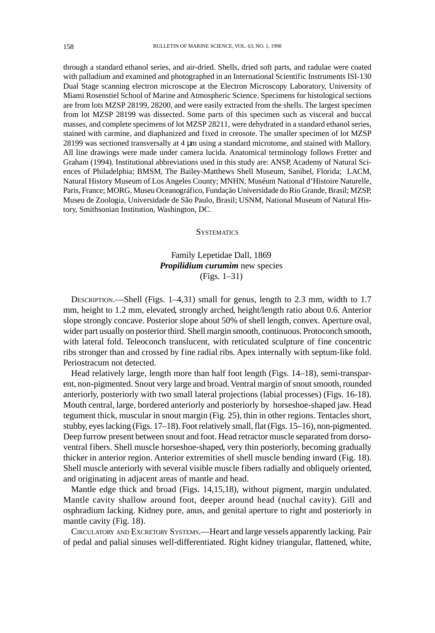through a standard ethanol series, and air-dried. Shells, dried soft parts, and radulae were coated with palladium and examined and photographed in an International Scientific Instruments ISI-130 Dual Stage scanning electron microscope at the Electron Microscopy Laboratory, University of Miami Rosenstiel School of Marine and Atmospheric Science. Specimens for histological sections are from lots MZSP 28199, 28200, and were easily extracted from the shells. The largest specimen from lot MZSP 28199 was dissected. Some parts of this specimen such as visceral and buccal masses, and complete specimens of lot MZSP 28211, were dehydrated in a standard ethanol series, stained with carmine, and diaphanized and fixed in creosote. The smaller specimen of lot MZSP 28199 was sectioned transversally at 4 µm using a standard microtome, and stained with Mallory. All line drawings were made under camera lucida. Anatomical terminology follows Fretter and Graham (1994). Institutional abbreviations used in this study are: ANSP, Academy of Natural Sciences of Philadelphia; BMSM, The Bailey-Matthews Shell Museum, Sanibel, Florida; LACM, Natural History Museum of Los Angeles County; MNHN, Muséum National d'Histoire Naturelle, Paris, France; MORG, Museu Oceanográfico, Fundação Universidade do Rio Grande, Brasil; MZSP, Museu de Zoologia, Universidade de São Paulo, Brasil; USNM, National Museum of Natural History, Smithsonian Institution, Washington, DC.

#### **SYSTEMATICS**

# Family Lepetidae Dall, 1869 Propilidium curumim new species  $(Figs. 1-31)$

DESCRIPTION.—Shell (Figs. 1-4,31) small for genus, length to 2.3 mm, width to 1.7 mm, height to 1.2 mm, elevated, strongly arched, height/length ratio about 0.6. Anterior slope strongly concave. Posterior slope about 50% of shell length, convex. Aperture oval, wider part usually on posterior third. Shell margin smooth, continuous. Protoconch smooth, with lateral fold. Teleoconch translucent, with reticulated sculpture of fine concentric ribs stronger than and crossed by fine radial ribs. Apex internally with septum-like fold. Periostracum not detected.

Head relatively large, length more than half foot length (Figs. 14-18), semi-transparent, non-pigmented. Snout very large and broad. Ventral margin of snout smooth, rounded anteriorly, posteriorly with two small lateral projections (labial processes) (Figs. 16-18). Mouth central, large, bordered anteriorly and posteriorly by horseshoe-shaped jaw. Head tegument thick, muscular in snout margin (Fig. 25), thin in other regions. Tentacles short, stubby, eyes lacking (Figs. 17-18). Foot relatively small, flat (Figs. 15-16), non-pigmented. Deep furrow present between snout and foot. Head retractor muscle separated from dorsoventral fibers. Shell muscle horseshoe-shaped, very thin posteriorly, becoming gradually thicker in anterior region. Anterior extremities of shell muscle bending inward (Fig. 18). Shell muscle anteriorly with several visible muscle fibers radially and obliquely oriented, and originating in adjacent areas of mantle and head.

Mantle edge thick and broad (Figs. 14,15,18), without pigment, margin undulated. Mantle cavity shallow around foot, deeper around head (nuchal cavity). Gill and osphradium lacking. Kidney pore, anus, and genital aperture to right and posteriorly in mantle cavity (Fig. 18).

CIRCULATORY AND EXCRETORY SYSTEMS. - Heart and large vessels apparently lacking. Pair of pedal and palial sinuses well-differentiated. Right kidney triangular, flattened, white,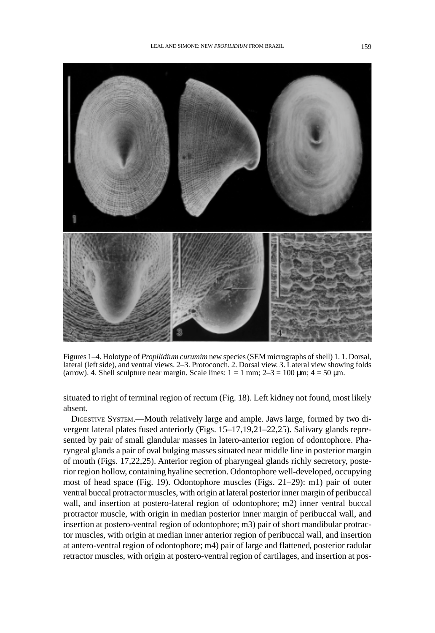

Figures 1-4. Holotype of *Propilidium curumim* new species (SEM micrographs of shell) 1. 1. Dorsal, lateral (left side), and ventral views. 2–3. Protoconch. 2. Dorsal view. 3. Lateral view showing folds (arrow). 4. Shell sculpture near margin. Scale lines:  $1 = 1$  mm;  $2-3 = 100$  µm;  $4 = 50$  µm.

situated to right of terminal region of rectum (Fig. 18). Left kidney not found, most likely absent.

DIGESTIVE SYSTEM.-Mouth relatively large and ample. Jaws large, formed by two divergent lateral plates fused anteriorly (Figs. 15-17,19,21-22,25). Salivary glands represented by pair of small glandular masses in latero-anterior region of odontophore. Pharyngeal glands a pair of oval bulging masses situated near middle line in posterior margin of mouth (Figs. 17,22,25). Anterior region of pharyngeal glands richly secretory, posterior region hollow, containing hyaline secretion. Odontophore well-developed, occupying most of head space (Fig. 19). Odontophore muscles (Figs. 21-29): m1) pair of outer ventral buccal protractor muscles, with origin at lateral posterior inner margin of peribuccal wall, and insertion at postero-lateral region of odontophore; m2) inner ventral buccal protractor muscle, with origin in median posterior inner margin of peribuccal wall, and insertion at postero-ventral region of odontophore; m3) pair of short mandibular protractor muscles, with origin at median inner anterior region of peribuccal wall, and insertion at antero-ventral region of odontophore; m4) pair of large and flattened, posterior radular retractor muscles, with origin at postero-ventral region of cartilages, and insertion at pos-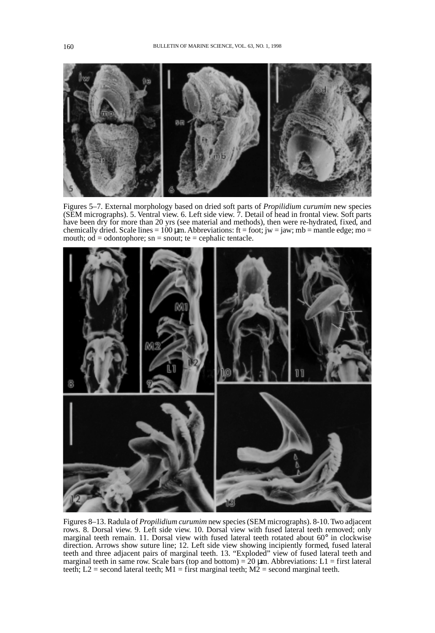

Figures 5-7. External morphology based on dried soft parts of *Propilidium curumim* new species (SEM micrographs). 5. Ventral view. 6. Left side view. 7. Detail of head in frontal view. Soft parts have been dry for more than 20 yrs (see material and methods), then were re-hydrated, fixed, and chemically dried. Scale lines =  $100 \mu m$ . Abbreviations: ft = foot; jw = jaw; mb = mantle edge; mo = mouth;  $od = odontophore$ ; sn = snout; te = cephalic tentacle.



Figures 8-13. Radula of *Propilidium curumim* new species (SEM micrographs). 8-10. Two adjacent rows. 8. Dorsal view. 9. Left side view. 10. Dorsal view with fused lateral teeth removed; only marginal teeth remain. 11. Dorsal view with fused lateral teeth rotated about 60° in clockwise direction. Arrows show suture line; 12. Left side view showing incipiently formed, fused lateral teeth and three adjacent pairs of marginal teeth. 13. "Exploded" view of fused lateral teeth and marginal teeth in same row. Scale bars (top and bottom) =  $20 \mu m$ . Abbreviations: L1 = first lateral teeth; L2 = second lateral teeth; M1 = first marginal teeth; M2 = second marginal teeth.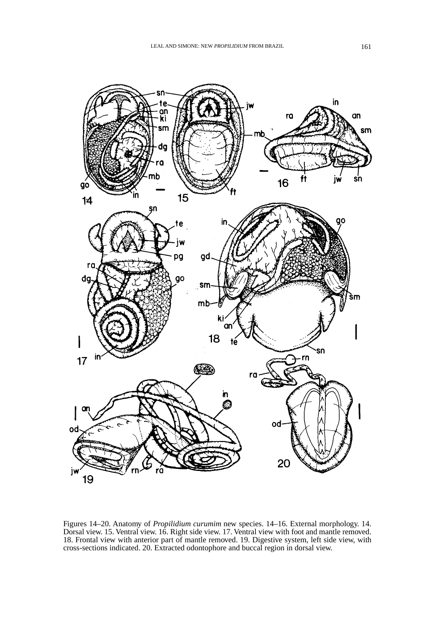

Figures 14–20. Anatomy of *Propilidium curumim* new species. 14–16. External morphology. 14. Dorsal view. 15. Ventral view. 16. Right side view. 17. Ventral view with foot and mantle removed. 18. Frontal view with anterior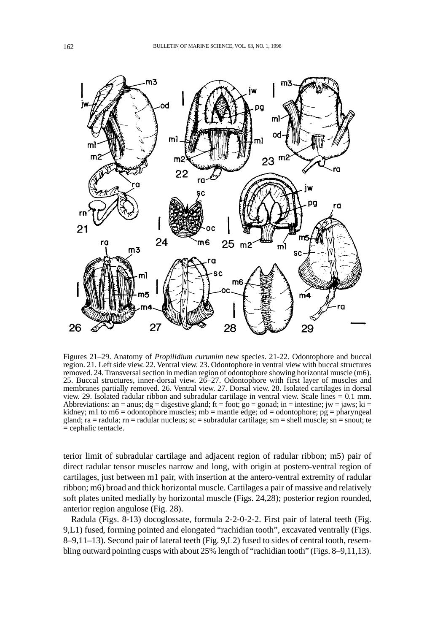

Figures 21-29. Anatomy of *Propilidium curumim* new species. 21-22. Odontophore and buccal region. 21. Left side view. 22. Ventral view. 23. Odontophore in ventral view with buccal structures removed. 24. Transversal section in median region of odontophore showing horizontal muscle (m6). 25. Buccal structures, inner-dorsal view. 26-27. Odontophore with first layer of muscles and membranes partially removed. 26. Ventral view. 27. Dorsal view. 28. Isolated cartilages in dorsal view. 29. Isolated radular ribbon and subradular cartilage in ventral view. Scale lines  $= 0.1$  mm. Abbreviations: an = anus; dg = digestive gland; ft = foot; go = gonad; in = intestine; jw = jaws; ki = kidney; m1 to m6 = odontophore muscles; mb = mantle edge; od = odontophore;  $pg = pharyngeal$ gland; ra = radula; rn = radular nucleus; sc = subradular cartilage; sm = shell muscle; sn = snout; te  $=$  cephalic tentacle.

terior limit of subradular cartilage and adjacent region of radular ribbon; m5) pair of direct radular tensor muscles narrow and long, with origin at postero-ventral region of cartilages, just between m1 pair, with insertion at the antero-ventral extremity of radular ribbon; m6) broad and thick horizontal muscle. Cartilages a pair of massive and relatively soft plates united medially by horizontal muscle (Figs. 24,28); posterior region rounded, anterior region angulose (Fig. 28).

Radula (Figs. 8-13) docoglossate, formula 2-2-0-2-2. First pair of lateral teeth (Fig. 9,L1) fused, forming pointed and elongated "rachidian tooth", excavated ventrally (Figs. 8–9,11–13). Second pair of lateral teeth (Fig. 9, L2) fused to sides of central tooth, resembling outward pointing cusps with about 25% length of "rachidian tooth" (Figs. 8–9,11,13).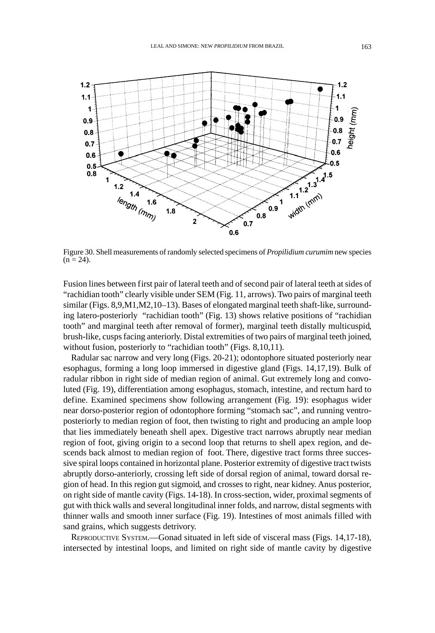

Figure 30. Shell measurements of randomly selected specimens of *Propilidium curumim* new species  $(n = 24)$ .

Fusion lines between first pair of lateral teeth and of second pair of lateral teeth at sides of "rachidian tooth" clearly visible under SEM (Fig. 11, arrows). Two pairs of marginal teeth similar (Figs. 8,9,M1,M2,10-13). Bases of elongated marginal teeth shaft-like, surrounding latero-posteriorly "rachidian tooth" (Fig. 13) shows relative positions of "rachidian tooth" and marginal teeth after removal of former), marginal teeth distally multicuspid, brush-like, cusps facing anteriorly. Distal extremities of two pairs of marginal teeth joined, without fusion, posteriorly to "rachidian tooth" (Figs. 8,10,11).

Radular sac narrow and very long (Figs. 20-21); odontophore situated posteriorly near esophagus, forming a long loop immersed in digestive gland (Figs. 14,17,19). Bulk of radular ribbon in right side of median region of animal. Gut extremely long and convoluted (Fig. 19), differentiation among esophagus, stomach, intestine, and rectum hard to define. Examined specimens show following arrangement (Fig. 19): esophagus wider near dorso-posterior region of odontophore forming "stomach sac", and running ventroposteriorly to median region of foot, then twisting to right and producing an ample loop that lies immediately beneath shell apex. Digestive tract narrows abruptly near median region of foot, giving origin to a second loop that returns to shell apex region, and descends back almost to median region of foot. There, digestive tract forms three successive spiral loops contained in horizontal plane. Posterior extremity of digestive tract twists abruptly dorso-anteriorly, crossing left side of dorsal region of animal, toward dorsal region of head. In this region gut sigmoid, and crosses to right, near kidney. Anus posterior, on right side of mantle cavity (Figs. 14-18). In cross-section, wider, proximal segments of gut with thick walls and several longitudinal inner folds, and narrow, distal segments with thinner walls and smooth inner surface (Fig. 19). Intestines of most animals filled with sand grains, which suggests detrivory.

REPRODUCTIVE SYSTEM.—Gonad situated in left side of visceral mass (Figs. 14,17-18), intersected by intestinal loops, and limited on right side of mantle cavity by digestive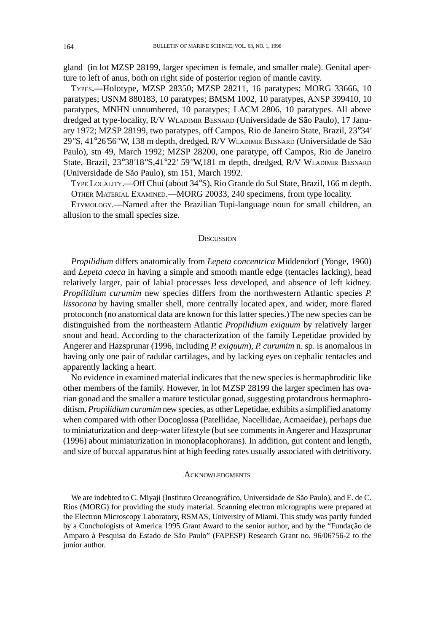gland (in lot MZSP 28199, larger specimen is female, and smaller male). Genital aperture to left of anus, both on right side of posterior region of mantle cavity.

TYPES.-Holotype, MZSP 28350; MZSP 28211, 16 paratypes; MORG 33666, 10 paratypes; USNM 880183, 10 paratypes; BMSM 1002, 10 paratypes, ANSP 399410, 10 paratypes, MNHN unnumbered, 10 paratypes; LACM 2806, 10 paratypes. All above dredged at type-locality, R/V WLADIMIR BESNARD (Universidade de São Paulo), 17 January 1972; MZSP 28199, two paratypes, off Campos, Rio de Janeiro State, Brazil, 23°34' 29"S, 41°26'56'W, 138 m depth, dredged, R/V WLADIMIR BESNARD (Universidade de São Paulo), stn 49, March 1992; MZSP 28200, one paratype, off Campos, Rio de Janeiro State, Brazil, 23°38'18"S,41°22' 59"W,181 m depth, dredged, R/V WLADIMIR BESNARD (Universidade de São Paulo), stn 151, March 1992.

TYPE LOCALITY.--Off Chuí (about 34°S), Rio Grande do Sul State, Brazil, 166 m depth. OTHER MATERIAL EXAMINED.-MORG 20033, 240 specimens, from type locality.

ETYMOLOGY.—Named after the Brazilian Tupi-language noun for small children, an allusion to the small species size.

#### **DISCUSSION**

Propilidium differs anatomically from Lepeta concentrica Middendorf (Yonge, 1960) and Lepeta caeca in having a simple and smooth mantle edge (tentacles lacking), head relatively larger, pair of labial processes less developed, and absence of left kidney. Propilidium curumim new species differs from the northwestern Atlantic species P. lissocona by having smaller shell, more centrally located apex, and wider, more flared protoconch (no anatomical data are known for this latter species.) The new species can be distinguished from the northeastern Atlantic Propilidium exiguum by relatively larger snout and head. According to the characterization of the family Lepetidae provided by Angerer and Hazsprunar (1996, including P. exiguum), P. curumim n. sp. is anomalous in having only one pair of radular cartilages, and by lacking eyes on cephalic tentacles and apparently lacking a heart.

No evidence in examined material indicates that the new species is hermaphroditic like other members of the family. However, in lot MZSP 28199 the larger specimen has ovarian gonad and the smaller a mature testicular gonad, suggesting protandrous hermaphroditism. Propilidium curumim new species, as other Lepetidae, exhibits a simplified anatomy when compared with other Docoglossa (Patellidae, Nacellidae, Acmaeidae), perhaps due to miniaturization and deep-water lifestyle (but see comments in Angerer and Hazsprunar (1996) about miniaturization in monoplacophorans). In addition, gut content and length, and size of buccal apparatus hint at high feeding rates usually associated with detritivory.

### **ACKNOWLEDGMENTS**

We are indebted to C. Miyaji (Instituto Oceanográfico, Universidade de São Paulo), and E. de C. Rios (MORG) for providing the study material. Scanning electron micrographs were prepared at the Electron Microscopy Laboratory, RSMAS, University of Miami. This study was partly funded by a Conchologists of America 1995 Grant Award to the senior author, and by the "Fundação de Amparo à Pesquisa do Estado de São Paulo" (FAPESP) Research Grant no. 96/06756-2 to the junior author.